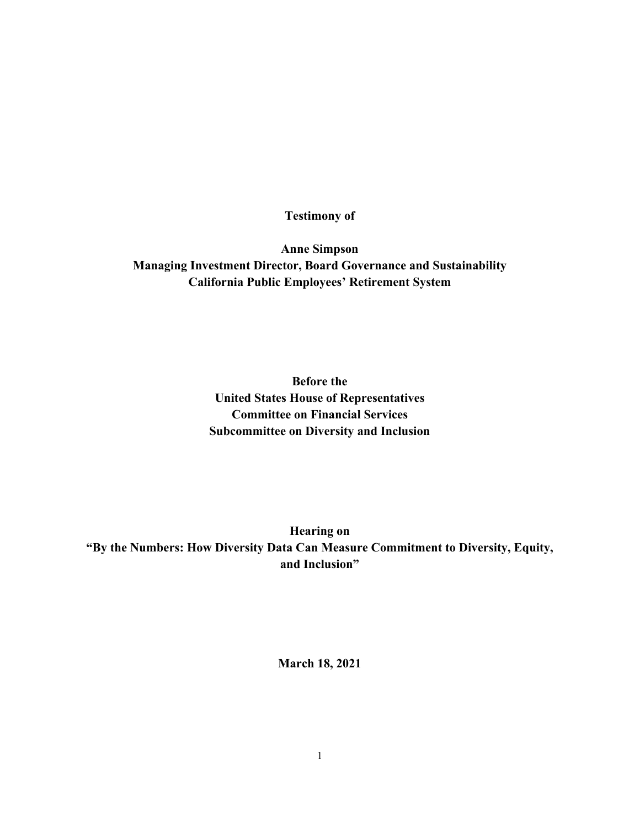**Testimony of** 

**Anne Simpson Managing Investment Director, Board Governance and Sustainability California Public Employees' Retirement System** 

> **Before the United States House of Representatives Committee on Financial Services Subcommittee on Diversity and Inclusion**

**Hearing on "By the Numbers: How Diversity Data Can Measure Commitment to Diversity, Equity, and Inclusion"** 

**March 18, 2021**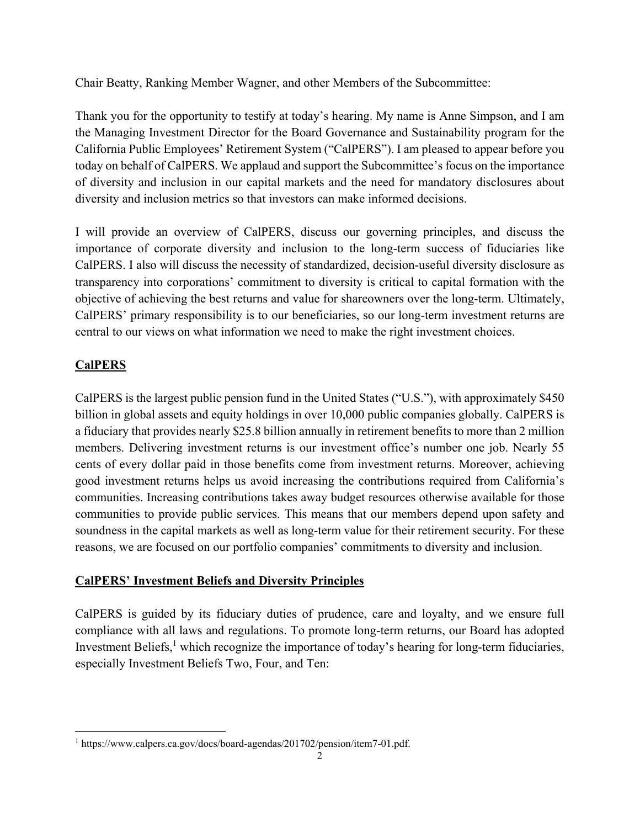Chair Beatty, Ranking Member Wagner, and other Members of the Subcommittee:

Thank you for the opportunity to testify at today's hearing. My name is Anne Simpson, and I am the Managing Investment Director for the Board Governance and Sustainability program for the California Public Employees' Retirement System ("CalPERS"). I am pleased to appear before you today on behalf of CalPERS. We applaud and support the Subcommittee's focus on the importance of diversity and inclusion in our capital markets and the need for mandatory disclosures about diversity and inclusion metrics so that investors can make informed decisions.

I will provide an overview of CalPERS, discuss our governing principles, and discuss the importance of corporate diversity and inclusion to the long-term success of fiduciaries like CalPERS. I also will discuss the necessity of standardized, decision-useful diversity disclosure as transparency into corporations' commitment to diversity is critical to capital formation with the objective of achieving the best returns and value for shareowners over the long-term. Ultimately, CalPERS' primary responsibility is to our beneficiaries, so our long-term investment returns are central to our views on what information we need to make the right investment choices.

# **CalPERS**

CalPERS is the largest public pension fund in the United States ("U.S."), with approximately \$450 billion in global assets and equity holdings in over 10,000 public companies globally. CalPERS is a fiduciary that provides nearly \$25.8 billion annually in retirement benefits to more than 2 million members. Delivering investment returns is our investment office's number one job. Nearly 55 cents of every dollar paid in those benefits come from investment returns. Moreover, achieving good investment returns helps us avoid increasing the contributions required from California's communities. Increasing contributions takes away budget resources otherwise available for those communities to provide public services. This means that our members depend upon safety and soundness in the capital markets as well as long-term value for their retirement security. For these reasons, we are focused on our portfolio companies' commitments to diversity and inclusion.

## **CalPERS' Investment Beliefs and Diversity Principles**

CalPERS is guided by its fiduciary duties of prudence, care and loyalty, and we ensure full compliance with all laws and regulations. To promote long-term returns, our Board has adopted Investment Beliefs, $<sup>1</sup>$  which recognize the importance of today's hearing for long-term fiduciaries,</sup> especially Investment Beliefs Two, Four, and Ten:

 $\overline{a}$ <sup>1</sup> https://www.calpers.ca.gov/docs/board-agendas/201702/pension/item7-01.pdf.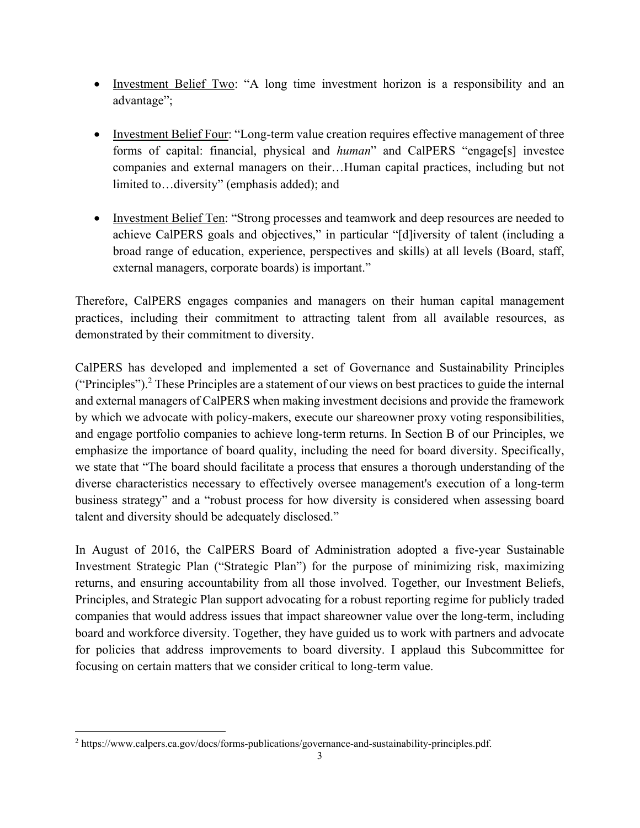- Investment Belief Two: "A long time investment horizon is a responsibility and an advantage";
- Investment Belief Four: "Long-term value creation requires effective management of three forms of capital: financial, physical and *human*" and CalPERS "engage[s] investee companies and external managers on their…Human capital practices, including but not limited to…diversity" (emphasis added); and
- Investment Belief Ten: "Strong processes and teamwork and deep resources are needed to achieve CalPERS goals and objectives," in particular "[d]iversity of talent (including a broad range of education, experience, perspectives and skills) at all levels (Board, staff, external managers, corporate boards) is important."

Therefore, CalPERS engages companies and managers on their human capital management practices, including their commitment to attracting talent from all available resources, as demonstrated by their commitment to diversity.

CalPERS has developed and implemented a set of Governance and Sustainability Principles ("Principles").<sup>2</sup> These Principles are a statement of our views on best practices to guide the internal and external managers of CalPERS when making investment decisions and provide the framework by which we advocate with policy-makers, execute our shareowner proxy voting responsibilities, and engage portfolio companies to achieve long-term returns. In Section B of our Principles, we emphasize the importance of board quality, including the need for board diversity. Specifically, we state that "The board should facilitate a process that ensures a thorough understanding of the diverse characteristics necessary to effectively oversee management's execution of a long-term business strategy" and a "robust process for how diversity is considered when assessing board talent and diversity should be adequately disclosed."

In August of 2016, the CalPERS Board of Administration adopted a five-year Sustainable Investment Strategic Plan ("Strategic Plan") for the purpose of minimizing risk, maximizing returns, and ensuring accountability from all those involved. Together, our Investment Beliefs, Principles, and Strategic Plan support advocating for a robust reporting regime for publicly traded companies that would address issues that impact shareowner value over the long-term, including board and workforce diversity. Together, they have guided us to work with partners and advocate for policies that address improvements to board diversity. I applaud this Subcommittee for focusing on certain matters that we consider critical to long-term value.

<sup>&</sup>lt;sup>2</sup> https://www.calpers.ca.gov/docs/forms-publications/governance-and-sustainability-principles.pdf.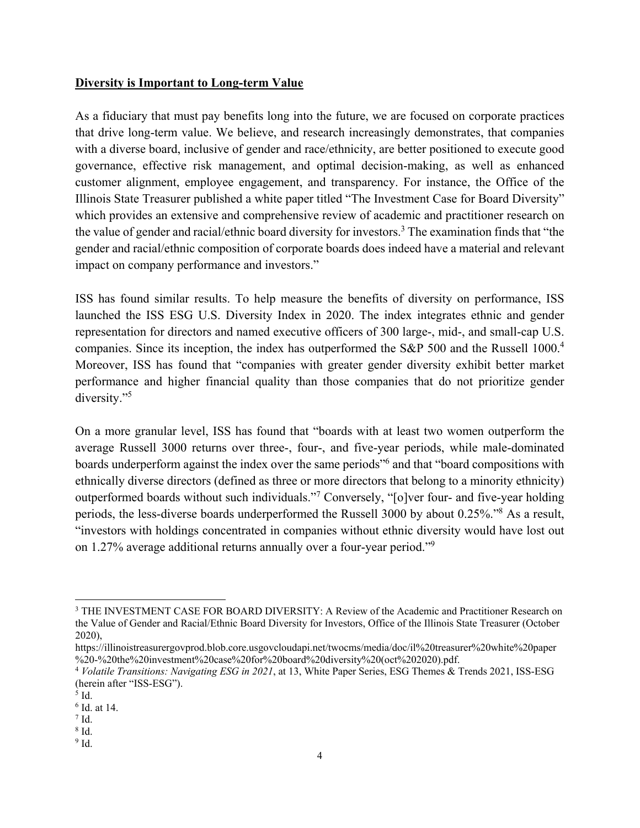### **Diversity is Important to Long-term Value**

As a fiduciary that must pay benefits long into the future, we are focused on corporate practices that drive long-term value. We believe, and research increasingly demonstrates, that companies with a diverse board, inclusive of gender and race/ethnicity, are better positioned to execute good governance, effective risk management, and optimal decision-making, as well as enhanced customer alignment, employee engagement, and transparency. For instance, the Office of the Illinois State Treasurer published a white paper titled "The Investment Case for Board Diversity" which provides an extensive and comprehensive review of academic and practitioner research on the value of gender and racial/ethnic board diversity for investors.<sup>3</sup> The examination finds that "the gender and racial/ethnic composition of corporate boards does indeed have a material and relevant impact on company performance and investors."

ISS has found similar results. To help measure the benefits of diversity on performance, ISS launched the ISS ESG U.S. Diversity Index in 2020. The index integrates ethnic and gender representation for directors and named executive officers of 300 large-, mid-, and small-cap U.S. companies. Since its inception, the index has outperformed the S&P 500 and the Russell 1000.<sup>4</sup> Moreover, ISS has found that "companies with greater gender diversity exhibit better market performance and higher financial quality than those companies that do not prioritize gender diversity."<sup>5</sup>

On a more granular level, ISS has found that "boards with at least two women outperform the average Russell 3000 returns over three-, four-, and five-year periods, while male-dominated boards underperform against the index over the same periods" and that "board compositions with ethnically diverse directors (defined as three or more directors that belong to a minority ethnicity) outperformed boards without such individuals."<sup>7</sup> Conversely, "[o]ver four- and five-year holding periods, the less-diverse boards underperformed the Russell 3000 by about 0.25%."<sup>8</sup> As a result, "investors with holdings concentrated in companies without ethnic diversity would have lost out on 1.27% average additional returns annually over a four-year period."9

<sup>&</sup>lt;sup>3</sup> THE INVESTMENT CASE FOR BOARD DIVERSITY: A Review of the Academic and Practitioner Research on the Value of Gender and Racial/Ethnic Board Diversity for Investors, Office of the Illinois State Treasurer (October 2020),

https://illinoistreasurergovprod.blob.core.usgovcloudapi.net/twocms/media/doc/il%20treasurer%20white%20paper %20-%20the%20investment%20case%20for%20board%20diversity%20(oct%202020).pdf.

<sup>4</sup> *Volatile Transitions: Navigating ESG in 2021*, at 13, White Paper Series, ESG Themes & Trends 2021, ISS-ESG (herein after "ISS-ESG").

 $<sup>5</sup>$  Id.</sup>

<sup>6</sup> Id. at 14.

 $^7$  Id.

<sup>8</sup> Id.

 $^9$  Id.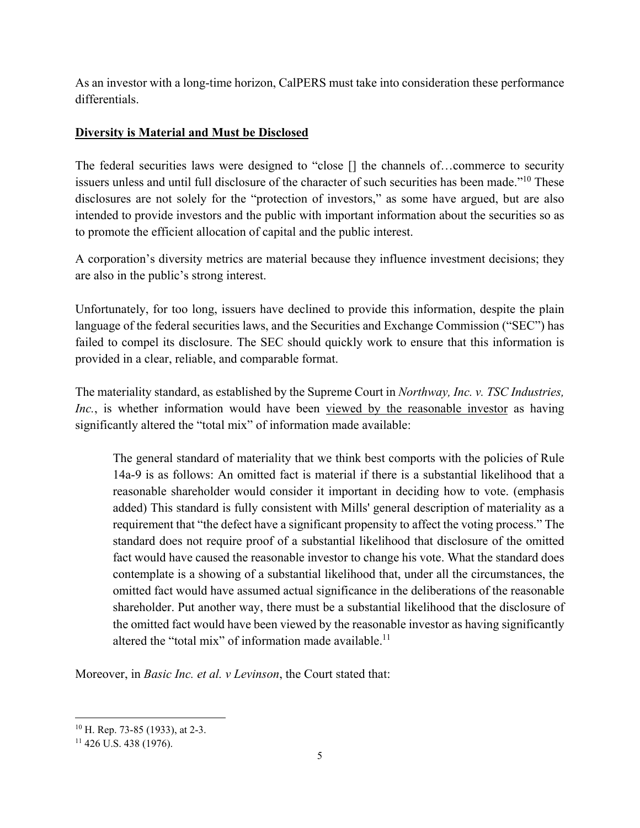As an investor with a long-time horizon, CalPERS must take into consideration these performance differentials.

### **Diversity is Material and Must be Disclosed**

The federal securities laws were designed to "close  $[]$  the channels of...commerce to security issuers unless and until full disclosure of the character of such securities has been made."10 These disclosures are not solely for the "protection of investors," as some have argued, but are also intended to provide investors and the public with important information about the securities so as to promote the efficient allocation of capital and the public interest.

A corporation's diversity metrics are material because they influence investment decisions; they are also in the public's strong interest.

Unfortunately, for too long, issuers have declined to provide this information, despite the plain language of the federal securities laws, and the Securities and Exchange Commission ("SEC") has failed to compel its disclosure. The SEC should quickly work to ensure that this information is provided in a clear, reliable, and comparable format.

The materiality standard, as established by the Supreme Court in *Northway, Inc. v. TSC Industries, Inc.*, is whether information would have been viewed by the reasonable investor as having significantly altered the "total mix" of information made available:

The general standard of materiality that we think best comports with the policies of Rule 14a-9 is as follows: An omitted fact is material if there is a substantial likelihood that a reasonable shareholder would consider it important in deciding how to vote. (emphasis added) This standard is fully consistent with Mills' general description of materiality as a requirement that "the defect have a significant propensity to affect the voting process." The standard does not require proof of a substantial likelihood that disclosure of the omitted fact would have caused the reasonable investor to change his vote. What the standard does contemplate is a showing of a substantial likelihood that, under all the circumstances, the omitted fact would have assumed actual significance in the deliberations of the reasonable shareholder. Put another way, there must be a substantial likelihood that the disclosure of the omitted fact would have been viewed by the reasonable investor as having significantly altered the "total mix" of information made available.<sup>11</sup>

Moreover, in *Basic Inc. et al. v Levinson*, the Court stated that:

<sup>10</sup> H. Rep. 73-85 (1933), at 2-3.

 $11$  426 U.S. 438 (1976).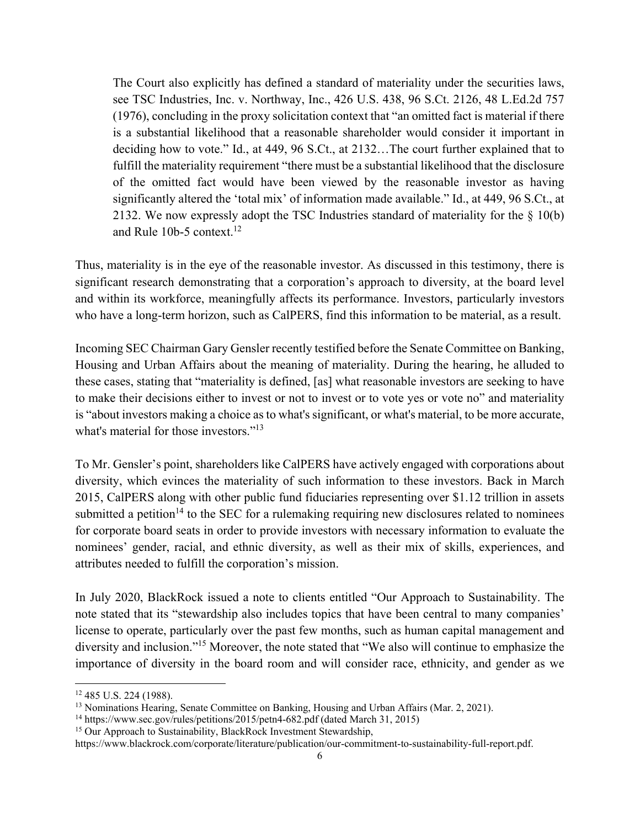The Court also explicitly has defined a standard of materiality under the securities laws, see TSC Industries, Inc. v. Northway, Inc., 426 U.S. 438, 96 S.Ct. 2126, 48 L.Ed.2d 757 (1976), concluding in the proxy solicitation context that "an omitted fact is material if there is a substantial likelihood that a reasonable shareholder would consider it important in deciding how to vote." Id., at 449, 96 S.Ct., at 2132…The court further explained that to fulfill the materiality requirement "there must be a substantial likelihood that the disclosure of the omitted fact would have been viewed by the reasonable investor as having significantly altered the 'total mix' of information made available." Id., at 449, 96 S.Ct., at 2132. We now expressly adopt the TSC Industries standard of materiality for the  $\S$  10(b) and Rule 10b-5 context.<sup>12</sup>

Thus, materiality is in the eye of the reasonable investor. As discussed in this testimony, there is significant research demonstrating that a corporation's approach to diversity, at the board level and within its workforce, meaningfully affects its performance. Investors, particularly investors who have a long-term horizon, such as CalPERS, find this information to be material, as a result.

Incoming SEC Chairman Gary Gensler recently testified before the Senate Committee on Banking, Housing and Urban Affairs about the meaning of materiality. During the hearing, he alluded to these cases, stating that "materiality is defined, [as] what reasonable investors are seeking to have to make their decisions either to invest or not to invest or to vote yes or vote no" and materiality is "about investors making a choice as to what's significant, or what's material, to be more accurate, what's material for those investors."<sup>13</sup>

To Mr. Gensler's point, shareholders like CalPERS have actively engaged with corporations about diversity, which evinces the materiality of such information to these investors. Back in March 2015, CalPERS along with other public fund fiduciaries representing over \$1.12 trillion in assets submitted a petition<sup>14</sup> to the SEC for a rulemaking requiring new disclosures related to nominees for corporate board seats in order to provide investors with necessary information to evaluate the nominees' gender, racial, and ethnic diversity, as well as their mix of skills, experiences, and attributes needed to fulfill the corporation's mission.

In July 2020, BlackRock issued a note to clients entitled "Our Approach to Sustainability. The note stated that its "stewardship also includes topics that have been central to many companies' license to operate, particularly over the past few months, such as human capital management and diversity and inclusion."15 Moreover, the note stated that "We also will continue to emphasize the importance of diversity in the board room and will consider race, ethnicity, and gender as we

<sup>12 485</sup> U.S. 224 (1988).

<sup>&</sup>lt;sup>13</sup> Nominations Hearing, Senate Committee on Banking, Housing and Urban Affairs (Mar. 2, 2021).

<sup>&</sup>lt;sup>14</sup> https://www.sec.gov/rules/petitions/2015/petn4-682.pdf (dated March 31, 2015)

<sup>&</sup>lt;sup>15</sup> Our Approach to Sustainability, BlackRock Investment Stewardship,

https://www.blackrock.com/corporate/literature/publication/our-commitment-to-sustainability-full-report.pdf.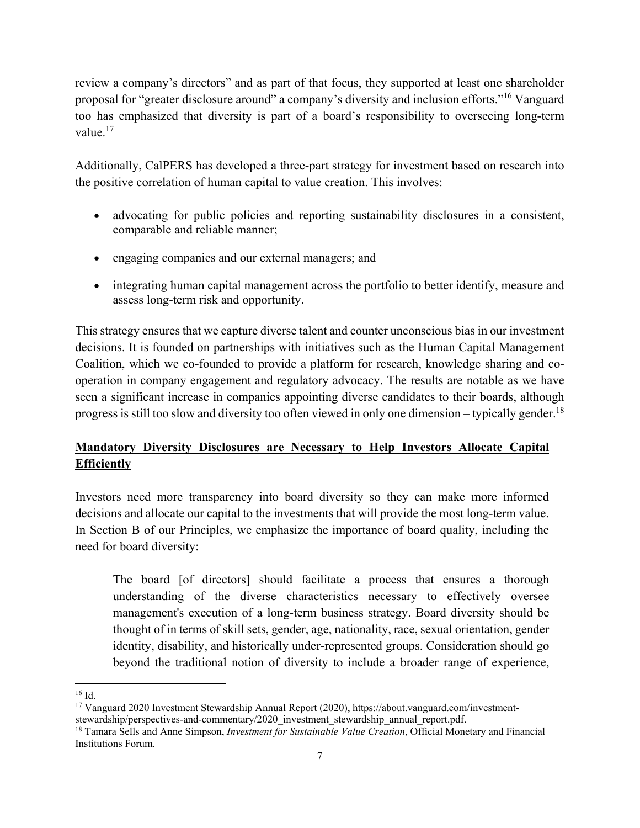review a company's directors" and as part of that focus, they supported at least one shareholder proposal for "greater disclosure around" a company's diversity and inclusion efforts."16 Vanguard too has emphasized that diversity is part of a board's responsibility to overseeing long-term value.<sup>17</sup>

Additionally, CalPERS has developed a three-part strategy for investment based on research into the positive correlation of human capital to value creation. This involves:

- advocating for public policies and reporting sustainability disclosures in a consistent, comparable and reliable manner;
- engaging companies and our external managers; and
- integrating human capital management across the portfolio to better identify, measure and assess long-term risk and opportunity.

This strategy ensures that we capture diverse talent and counter unconscious bias in our investment decisions. It is founded on partnerships with initiatives such as the Human Capital Management Coalition, which we co-founded to provide a platform for research, knowledge sharing and cooperation in company engagement and regulatory advocacy. The results are notable as we have seen a significant increase in companies appointing diverse candidates to their boards, although progress is still too slow and diversity too often viewed in only one dimension – typically gender.<sup>18</sup>

# **Mandatory Diversity Disclosures are Necessary to Help Investors Allocate Capital Efficiently**

Investors need more transparency into board diversity so they can make more informed decisions and allocate our capital to the investments that will provide the most long-term value. In Section B of our Principles, we emphasize the importance of board quality, including the need for board diversity:

The board [of directors] should facilitate a process that ensures a thorough understanding of the diverse characteristics necessary to effectively oversee management's execution of a long-term business strategy. Board diversity should be thought of in terms of skill sets, gender, age, nationality, race, sexual orientation, gender identity, disability, and historically under-represented groups. Consideration should go beyond the traditional notion of diversity to include a broader range of experience,

<sup>16</sup> Id.

<sup>&</sup>lt;sup>17</sup> Vanguard 2020 Investment Stewardship Annual Report (2020), https://about.vanguard.com/investmentstewardship/perspectives-and-commentary/2020\_investment\_stewardship\_annual\_report.pdf.

<sup>18</sup> Tamara Sells and Anne Simpson, *Investment for Sustainable Value Creation*, Official Monetary and Financial Institutions Forum.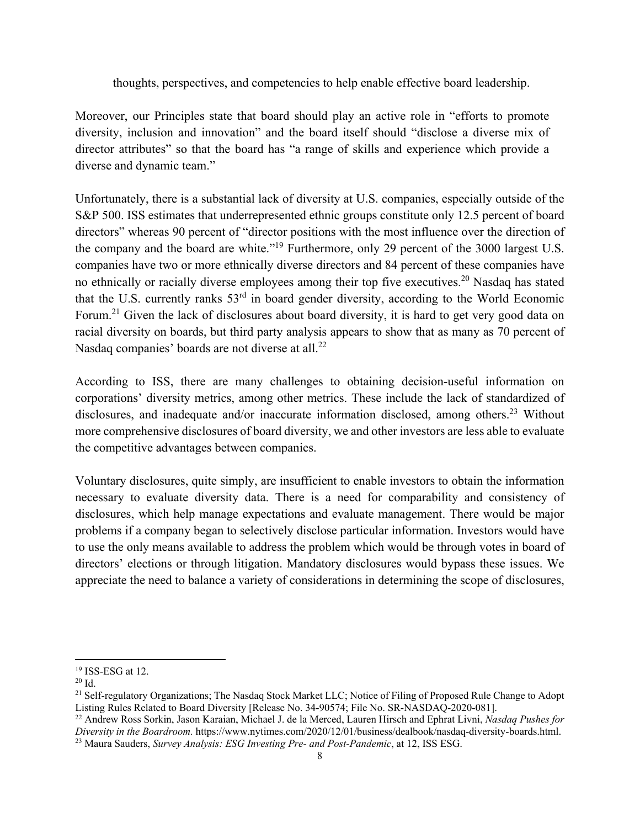thoughts, perspectives, and competencies to help enable effective board leadership.

Moreover, our Principles state that board should play an active role in "efforts to promote diversity, inclusion and innovation" and the board itself should "disclose a diverse mix of director attributes" so that the board has "a range of skills and experience which provide a diverse and dynamic team."

Unfortunately, there is a substantial lack of diversity at U.S. companies, especially outside of the S&P 500. ISS estimates that underrepresented ethnic groups constitute only 12.5 percent of board directors" whereas 90 percent of "director positions with the most influence over the direction of the company and the board are white."19 Furthermore, only 29 percent of the 3000 largest U.S. companies have two or more ethnically diverse directors and 84 percent of these companies have no ethnically or racially diverse employees among their top five executives.20 Nasdaq has stated that the U.S. currently ranks 53rd in board gender diversity, according to the World Economic Forum.<sup>21</sup> Given the lack of disclosures about board diversity, it is hard to get very good data on racial diversity on boards, but third party analysis appears to show that as many as 70 percent of Nasdaq companies' boards are not diverse at all.<sup>22</sup>

According to ISS, there are many challenges to obtaining decision-useful information on corporations' diversity metrics, among other metrics. These include the lack of standardized of disclosures, and inadequate and/or inaccurate information disclosed, among others.<sup>23</sup> Without more comprehensive disclosures of board diversity, we and other investors are less able to evaluate the competitive advantages between companies.

Voluntary disclosures, quite simply, are insufficient to enable investors to obtain the information necessary to evaluate diversity data. There is a need for comparability and consistency of disclosures, which help manage expectations and evaluate management. There would be major problems if a company began to selectively disclose particular information. Investors would have to use the only means available to address the problem which would be through votes in board of directors' elections or through litigation. Mandatory disclosures would bypass these issues. We appreciate the need to balance a variety of considerations in determining the scope of disclosures,

1

 $19$  ISS-ESG at 12.

<sup>20</sup> Id.

<sup>&</sup>lt;sup>21</sup> Self-regulatory Organizations; The Nasdaq Stock Market LLC; Notice of Filing of Proposed Rule Change to Adopt<br>Listing Rules Related to Board Diversity [Release No. 34-90574; File No. SR-NASDAQ-2020-081].

<sup>&</sup>lt;sup>22</sup> Andrew Ross Sorkin, Jason Karaian, Michael J. de la Merced, Lauren Hirsch and Ephrat Livni, Nasdaq Pushes for *Diversity in the Boardroom.* https://www.nytimes.com/2020/12/01/business/dealbook/nasdaq-diversity-boards.html. 23 Maura Sauders, *Survey Analysis: ESG Investing Pre- and Post-Pandemic*, at 12, ISS ESG.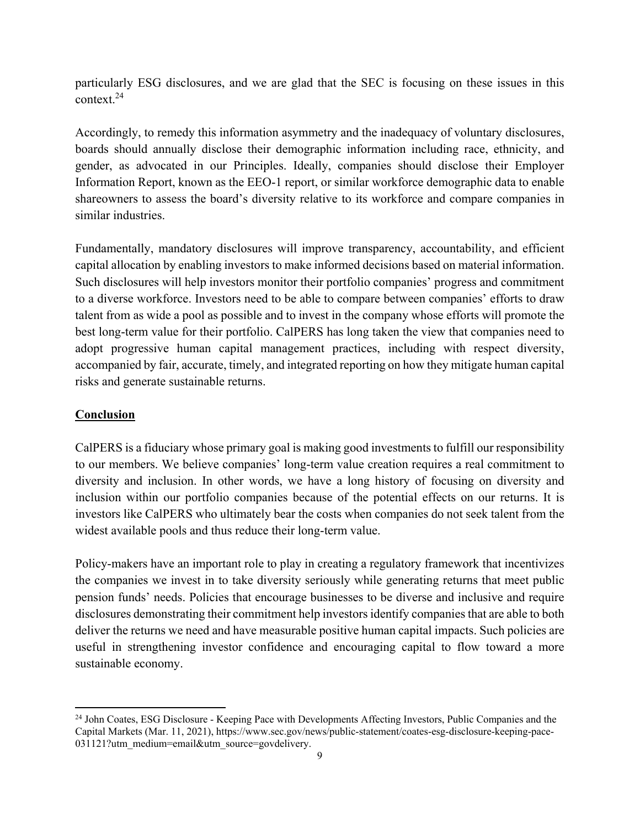particularly ESG disclosures, and we are glad that the SEC is focusing on these issues in this context.24

Accordingly, to remedy this information asymmetry and the inadequacy of voluntary disclosures, boards should annually disclose their demographic information including race, ethnicity, and gender, as advocated in our Principles. Ideally, companies should disclose their Employer Information Report, known as the EEO-1 report, or similar workforce demographic data to enable shareowners to assess the board's diversity relative to its workforce and compare companies in similar industries.

Fundamentally, mandatory disclosures will improve transparency, accountability, and efficient capital allocation by enabling investors to make informed decisions based on material information. Such disclosures will help investors monitor their portfolio companies' progress and commitment to a diverse workforce. Investors need to be able to compare between companies' efforts to draw talent from as wide a pool as possible and to invest in the company whose efforts will promote the best long-term value for their portfolio. CalPERS has long taken the view that companies need to adopt progressive human capital management practices, including with respect diversity, accompanied by fair, accurate, timely, and integrated reporting on how they mitigate human capital risks and generate sustainable returns.

#### **Conclusion**

 $\overline{a}$ 

CalPERS is a fiduciary whose primary goal is making good investments to fulfill our responsibility to our members. We believe companies' long-term value creation requires a real commitment to diversity and inclusion. In other words, we have a long history of focusing on diversity and inclusion within our portfolio companies because of the potential effects on our returns. It is investors like CalPERS who ultimately bear the costs when companies do not seek talent from the widest available pools and thus reduce their long-term value.

Policy-makers have an important role to play in creating a regulatory framework that incentivizes the companies we invest in to take diversity seriously while generating returns that meet public pension funds' needs. Policies that encourage businesses to be diverse and inclusive and require disclosures demonstrating their commitment help investors identify companies that are able to both deliver the returns we need and have measurable positive human capital impacts. Such policies are useful in strengthening investor confidence and encouraging capital to flow toward a more sustainable economy.

<sup>&</sup>lt;sup>24</sup> John Coates, ESG Disclosure - Keeping Pace with Developments Affecting Investors, Public Companies and the Capital Markets (Mar. 11, 2021), https://www.sec.gov/news/public-statement/coates-esg-disclosure-keeping-pace-031121?utm\_medium=email&utm\_source=govdelivery.